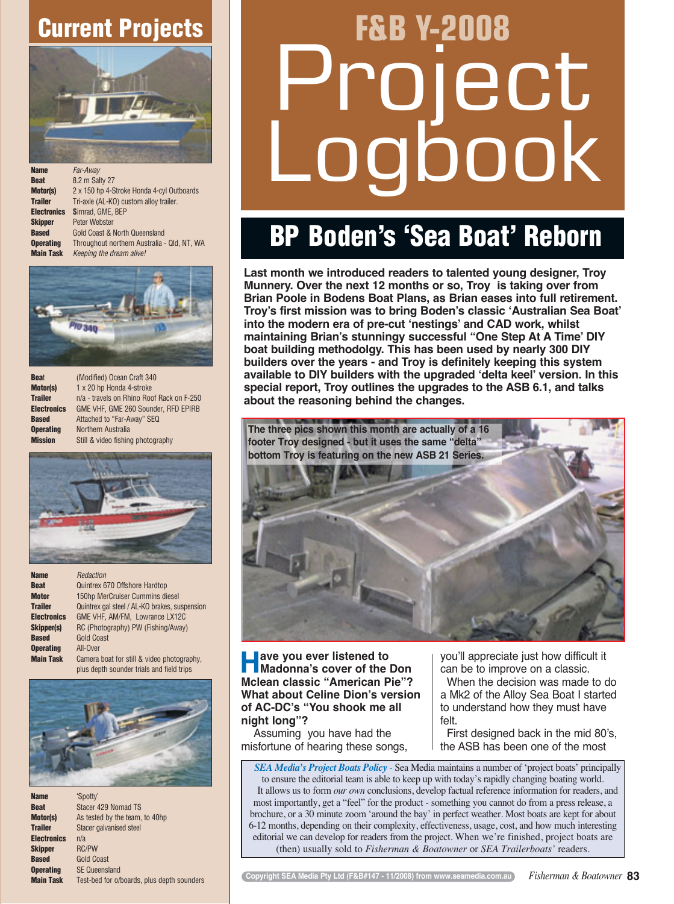## **Current Projects**



| <b>Name</b>        | Far-Away                                    |
|--------------------|---------------------------------------------|
| <b>Boat</b>        | 8.2 m Salty 27                              |
| Motor(s)           | 2 x 150 hp 4-Stroke Honda 4-cyl Outboards   |
| <b>Trailer</b>     | Tri-axle (AL-KO) custom alloy trailer.      |
| <b>Electronics</b> | Simrad, GME, BEP                            |
| <b>Skipper</b>     | <b>Peter Webster</b>                        |
| <b>Based</b>       | <b>Gold Coast &amp; North Queensland</b>    |
| <b>Operating</b>   | Throughout northern Australia - Qld, NT, WA |
| <b>Main Task</b>   | Keeping the dream alive!                    |
|                    |                                             |



| <b>Boat</b>        |
|--------------------|
| Motor(s)           |
| <b>Trailer</b>     |
| <b>Electronics</b> |
| <b>Based</b>       |
| <b>Operating</b>   |
| <b>Mission</b>     |

**Boa**t (Modified) Ocean Craft 340 **Motor(s)** 1 x 20 hp Honda 4-stroke n/a - travels on Rhino Roof Rack on F-250 **Electronics** GME VHF, GME 260 Sounder, RFD EPIRB Attached to "Far-Away" SEQ **Northern Australia** Still & video fishing photography



**Name** *Redaction* **Boat** Quintrex 670 Offshore Hardtop **Motor** 150hp MerCruiser Cummins diesel<br> **Trailer** Quintrex gal steel / AL-KO brakes, su Quintrex gal steel / AL-KO brakes, suspension **Electronics** GME VHF, AM/FM, Lowrance LX12C<br>**Skipper(s)** RC (Photography) PW (Fishing/Away) **Skipper(s)** RC (Photography) PW (Fishing/Away) **Based** Gold Coast **Operating** All-Over **Main Task** Camera boat for still & video photography, plus depth sounder trials and field trips



| <b>Name</b>      | 'Spotty'                                   |
|------------------|--------------------------------------------|
| Boat             | Stacer 429 Nomad TS                        |
| Motor(s)         | As tested by the team, to 40hp             |
| Trailer          | Stacer galvanised steel                    |
| Electronics      | n/a                                        |
| Skipper          | <b>RC/PW</b>                               |
| Based            | <b>Gold Coast</b>                          |
| <b>Operating</b> | <b>SE Queensland</b>                       |
| <b>Main Task</b> | Test-bed for o/boards, plus depth sounders |
|                  |                                            |

## **F&B Y-2008**  ect  $\mathsf{jook}$

## **BP Boden's 'Sea Boat' Reborn**

**Last month we introduced readers to talented young designer, Troy Munnery. Over the next 12 months or so, Troy is taking over from Brian Poole in Bodens Boat Plans, as Brian eases into full retirement. Troy's first mission was to bring Boden's classic ʻAustralian Sea Boat' into the modern era of pre-cut ʻnestings' and CAD work, whilst maintaining Brian's stunningy successful "One Step At A Time' DIY boat building methodolgy. This has been used by nearly 300 DIY builders over the years - and Troy is definitely keeping this system available to DIY builders with the upgraded ʻdelta keel' version. In this special report, Troy outlines the upgrades to the ASB 6.1, and talks about the reasoning behind the changes.** 



**Have you ever listened to Madonna's cover of the Don Mclean classic "American Pie"? What about Celine Dion's version of AC-DC's "You shook me all night long"?**

Assuming you have had the misfortune of hearing these songs, you'll appreciate just how difficult it can be to improve on a classic.

When the decision was made to do a Mk2 of the Alloy Sea Boat I started to understand how they must have felt.

First designed back in the mid 80's, the ASB has been one of the most

*SEA Media's Project Boats Policy* - Sea Media maintains a number of 'project boats' principally to ensure the editorial team is able to keep up with today's rapidly changing boating world. It allows us to form *our own* conclusions, develop factual reference information for readers, and most importantly, get a "feel" for the product - something you cannot do from a press release, a brochure, or a 30 minute zoom 'around the bay' in perfect weather. Most boats are kept for about 6-12 months, depending on their complexity, effectiveness, usage, cost, and how much interesting editorial we can develop for readers from the project. When we're finished, project boats are (then) usually sold to *Fisherman & Boatowner* or *SEA Trailerboats'* readers.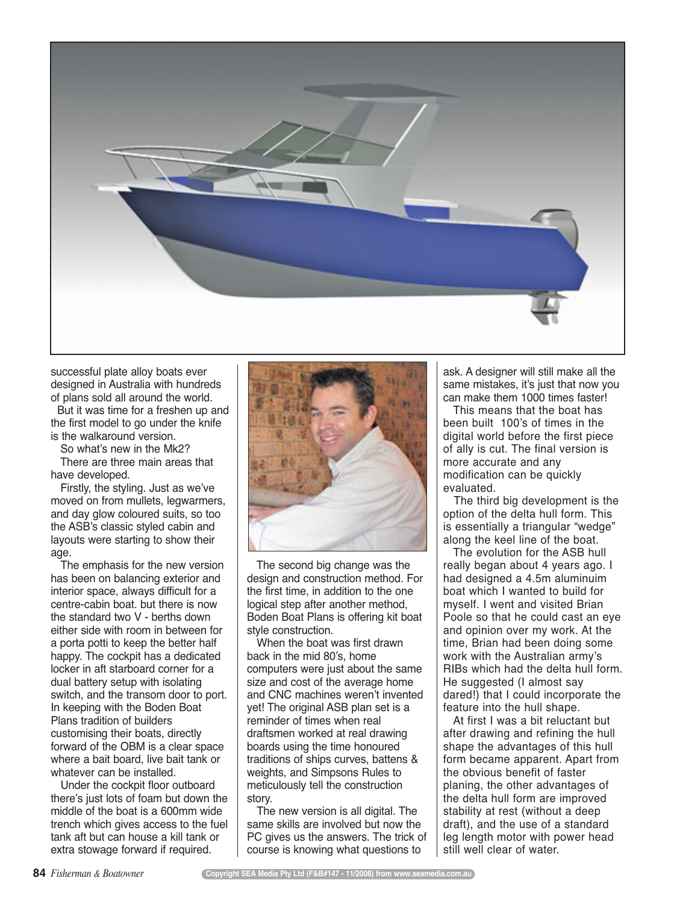

successful plate alloy boats ever designed in Australia with hundreds of plans sold all around the world.

But it was time for a freshen up and the first model to go under the knife is the walkaround version.

So what's new in the Mk2?

There are three main areas that have developed.

Firstly, the styling. Just as we've moved on from mullets, legwarmers, and day glow coloured suits, so too the ASB's classic styled cabin and layouts were starting to show their age.

The emphasis for the new version has been on balancing exterior and interior space, always difficult for a centre-cabin boat. but there is now the standard two V - berths down either side with room in between for a porta potti to keep the better half happy. The cockpit has a dedicated locker in aft starboard corner for a dual battery setup with isolating switch, and the transom door to port. In keeping with the Boden Boat Plans tradition of builders customising their boats, directly forward of the OBM is a clear space where a bait board, live bait tank or whatever can be installed.

Under the cockpit floor outboard there's just lots of foam but down the middle of the boat is a 600mm wide trench which gives access to the fuel tank aft but can house a kill tank or extra stowage forward if required.



The second big change was the design and construction method. For the first time, in addition to the one logical step after another method, Boden Boat Plans is offering kit boat style construction.

When the boat was first drawn back in the mid 80's, home computers were just about the same size and cost of the average home and CNC machines weren't invented yet! The original ASB plan set is a reminder of times when real draftsmen worked at real drawing boards using the time honoured traditions of ships curves, battens & weights, and Simpsons Rules to meticulously tell the construction story.

The new version is all digital. The same skills are involved but now the PC gives us the answers. The trick of course is knowing what questions to

ask. A designer will still make all the same mistakes, it's just that now you can make them 1000 times faster!

This means that the boat has been built 100's of times in the digital world before the first piece of ally is cut. The final version is more accurate and any modification can be quickly evaluated.

The third big development is the option of the delta hull form. This is essentially a triangular "wedge" along the keel line of the boat.

The evolution for the ASB hull really began about 4 years ago. I had designed a 4.5m aluminuim boat which I wanted to build for myself. I went and visited Brian Poole so that he could cast an eye and opinion over my work. At the time, Brian had been doing some work with the Australian army's RIBs which had the delta hull form. He suggested (I almost say dared!) that I could incorporate the feature into the hull shape.

At first I was a bit reluctant but after drawing and refining the hull shape the advantages of this hull form became apparent. Apart from the obvious benefit of faster planing, the other advantages of the delta hull form are improved stability at rest (without a deep draft), and the use of a standard leg length motor with power head still well clear of water.